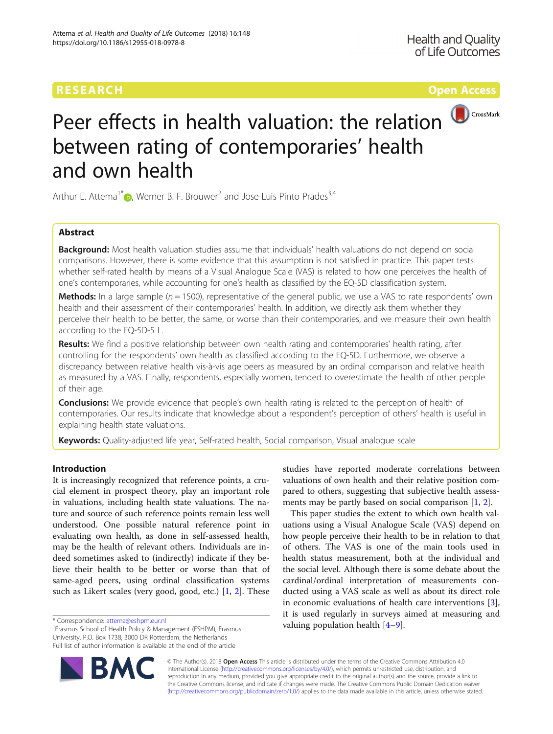# **RESEARCH CHINESE ARCH CHINESE ARCH CHINESE ARCH**



# Peer effects in health valuation: the relation **OCCTOGES** between rating of contemporaries' health and own health

Arthur E. Attema<sup>1[\\*](http://orcid.org/0000-0003-3607-6579)</sup> $\bullet$ , Werner B. F. Brouwer<sup>2</sup> and Jose Luis Pinto Prades<sup>3,4</sup>

# Abstract

**Background:** Most health valuation studies assume that individuals' health valuations do not depend on social comparisons. However, there is some evidence that this assumption is not satisfied in practice. This paper tests whether self-rated health by means of a Visual Analogue Scale (VAS) is related to how one perceives the health of one's contemporaries, while accounting for one's health as classified by the EQ-5D classification system.

**Methods:** In a large sample ( $n = 1500$ ), representative of the general public, we use a VAS to rate respondents' own health and their assessment of their contemporaries' health. In addition, we directly ask them whether they perceive their health to be better, the same, or worse than their contemporaries, and we measure their own health according to the EQ-5D-5 L.

Results: We find a positive relationship between own health rating and contemporaries' health rating, after controlling for the respondents' own health as classified according to the EQ-5D. Furthermore, we observe a discrepancy between relative health vis-à-vis age peers as measured by an ordinal comparison and relative health as measured by a VAS. Finally, respondents, especially women, tended to overestimate the health of other people of their age.

**Conclusions:** We provide evidence that people's own health rating is related to the perception of health of contemporaries. Our results indicate that knowledge about a respondent's perception of others' health is useful in explaining health state valuations.

Keywords: Quality-adjusted life year, Self-rated health, Social comparison, Visual analogue scale

## Introduction

It is increasingly recognized that reference points, a crucial element in prospect theory, play an important role in valuations, including health state valuations. The nature and source of such reference points remain less well understood. One possible natural reference point in evaluating own health, as done in self-assessed health, may be the health of relevant others. Individuals are indeed sometimes asked to (indirectly) indicate if they believe their health to be better or worse than that of same-aged peers, using ordinal classification systems such as Likert scales (very good, good, etc.) [\[1](#page-7-0), [2\]](#page-7-0). These

RA



This paper studies the extent to which own health valuations using a Visual Analogue Scale (VAS) depend on how people perceive their health to be in relation to that of others. The VAS is one of the main tools used in health status measurement, both at the individual and the social level. Although there is some debate about the cardinal/ordinal interpretation of measurements conducted using a VAS scale as well as about its direct role in economic evaluations of health care interventions [\[3](#page-7-0)], it is used regularly in surveys aimed at measuring and valuing population health [\[4](#page-7-0)–[9](#page-7-0)]. \* Correspondence: [attema@eshpm.eur.nl](mailto:attema@eshpm.eur.nl) <sup>1</sup>

> © The Author(s). 2018 Open Access This article is distributed under the terms of the Creative Commons Attribution 4.0 International License [\(http://creativecommons.org/licenses/by/4.0/](http://creativecommons.org/licenses/by/4.0/)), which permits unrestricted use, distribution, and reproduction in any medium, provided you give appropriate credit to the original author(s) and the source, provide a link to the Creative Commons license, and indicate if changes were made. The Creative Commons Public Domain Dedication waiver [\(http://creativecommons.org/publicdomain/zero/1.0/](http://creativecommons.org/publicdomain/zero/1.0/)) applies to the data made available in this article, unless otherwise stated.

<sup>&</sup>lt;sup>1</sup> Erasmus School of Health Policy & Management (ESHPM), Erasmus University, P.O. Box 1738, 3000 DR Rotterdam, the Netherlands Full list of author information is available at the end of the article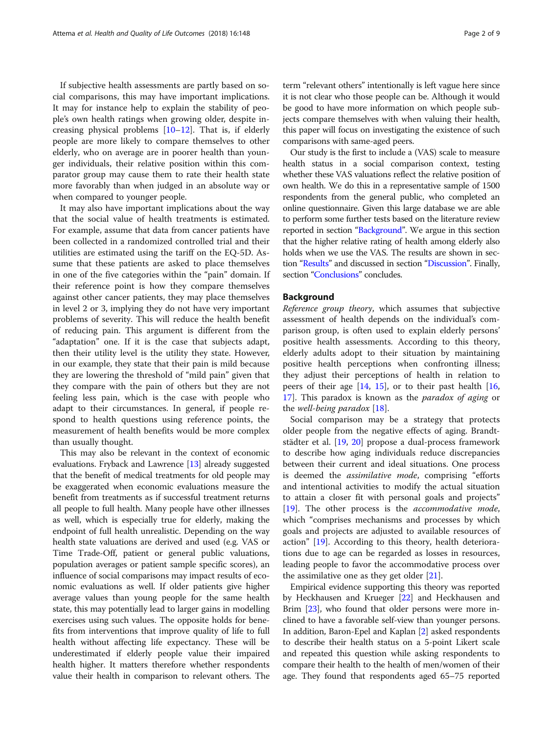<span id="page-1-0"></span>If subjective health assessments are partly based on social comparisons, this may have important implications. It may for instance help to explain the stability of people's own health ratings when growing older, despite increasing physical problems [[10](#page-7-0)–[12\]](#page-7-0). That is, if elderly people are more likely to compare themselves to other elderly, who on average are in poorer health than younger individuals, their relative position within this comparator group may cause them to rate their health state more favorably than when judged in an absolute way or when compared to younger people.

It may also have important implications about the way that the social value of health treatments is estimated. For example, assume that data from cancer patients have been collected in a randomized controlled trial and their utilities are estimated using the tariff on the EQ-5D. Assume that these patients are asked to place themselves in one of the five categories within the "pain" domain. If their reference point is how they compare themselves against other cancer patients, they may place themselves in level 2 or 3, implying they do not have very important problems of severity. This will reduce the health benefit of reducing pain. This argument is different from the "adaptation" one. If it is the case that subjects adapt, then their utility level is the utility they state. However, in our example, they state that their pain is mild because they are lowering the threshold of "mild pain" given that they compare with the pain of others but they are not feeling less pain, which is the case with people who adapt to their circumstances. In general, if people respond to health questions using reference points, the measurement of health benefits would be more complex than usually thought.

This may also be relevant in the context of economic evaluations. Fryback and Lawrence [\[13\]](#page-7-0) already suggested that the benefit of medical treatments for old people may be exaggerated when economic evaluations measure the benefit from treatments as if successful treatment returns all people to full health. Many people have other illnesses as well, which is especially true for elderly, making the endpoint of full health unrealistic. Depending on the way health state valuations are derived and used (e.g. VAS or Time Trade-Off, patient or general public valuations, population averages or patient sample specific scores), an influence of social comparisons may impact results of economic evaluations as well. If older patients give higher average values than young people for the same health state, this may potentially lead to larger gains in modelling exercises using such values. The opposite holds for benefits from interventions that improve quality of life to full health without affecting life expectancy. These will be underestimated if elderly people value their impaired health higher. It matters therefore whether respondents value their health in comparison to relevant others. The

term "relevant others" intentionally is left vague here since it is not clear who those people can be. Although it would be good to have more information on which people subjects compare themselves with when valuing their health, this paper will focus on investigating the existence of such comparisons with same-aged peers.

Our study is the first to include a (VAS) scale to measure health status in a social comparison context, testing whether these VAS valuations reflect the relative position of own health. We do this in a representative sample of 1500 respondents from the general public, who completed an online questionnaire. Given this large database we are able to perform some further tests based on the literature review reported in section "Background". We argue in this section that the higher relative rating of health among elderly also holds when we use the VAS. The results are shown in section "[Results](#page-3-0)" and discussed in section "[Discussion](#page-5-0)". Finally, section "[Conclusions](#page-6-0)" concludes.

#### Background

Reference group theory, which assumes that subjective assessment of health depends on the individual's comparison group, is often used to explain elderly persons' positive health assessments. According to this theory, elderly adults adopt to their situation by maintaining positive health perceptions when confronting illness; they adjust their perceptions of health in relation to peers of their age  $[14, 15]$  $[14, 15]$  $[14, 15]$  $[14, 15]$ , or to their past health  $[16, 16]$  $[16, 16]$  $[16, 16]$ [17\]](#page-7-0). This paradox is known as the paradox of aging or the *well-being paradox*  $[18]$  $[18]$ .

Social comparison may be a strategy that protects older people from the negative effects of aging. Brandtstädter et al. [\[19,](#page-7-0) [20\]](#page-7-0) propose a dual-process framework to describe how aging individuals reduce discrepancies between their current and ideal situations. One process is deemed the *assimilative mode*, comprising "efforts and intentional activities to modify the actual situation to attain a closer fit with personal goals and projects" [[19\]](#page-7-0). The other process is the *accommodative mode*, which "comprises mechanisms and processes by which goals and projects are adjusted to available resources of action" [\[19](#page-7-0)]. According to this theory, health deteriorations due to age can be regarded as losses in resources, leading people to favor the accommodative process over the assimilative one as they get older [\[21\]](#page-7-0).

Empirical evidence supporting this theory was reported by Heckhausen and Krueger [[22](#page-7-0)] and Heckhausen and Brim [[23](#page-7-0)], who found that older persons were more inclined to have a favorable self-view than younger persons. In addition, Baron-Epel and Kaplan [[2](#page-7-0)] asked respondents to describe their health status on a 5-point Likert scale and repeated this question while asking respondents to compare their health to the health of men/women of their age. They found that respondents aged 65–75 reported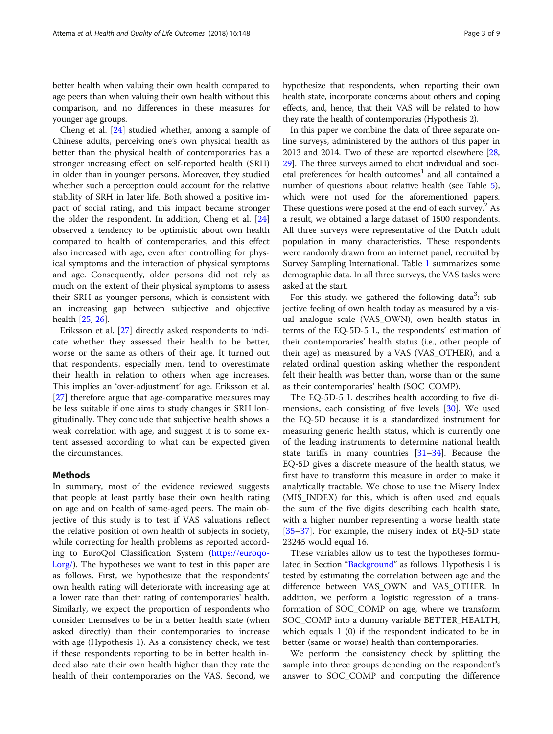better health when valuing their own health compared to age peers than when valuing their own health without this comparison, and no differences in these measures for younger age groups.

Cheng et al. [\[24\]](#page-7-0) studied whether, among a sample of Chinese adults, perceiving one's own physical health as better than the physical health of contemporaries has a stronger increasing effect on self-reported health (SRH) in older than in younger persons. Moreover, they studied whether such a perception could account for the relative stability of SRH in later life. Both showed a positive impact of social rating, and this impact became stronger the older the respondent. In addition, Cheng et al.  $[24]$  $[24]$  $[24]$ observed a tendency to be optimistic about own health compared to health of contemporaries, and this effect also increased with age, even after controlling for physical symptoms and the interaction of physical symptoms and age. Consequently, older persons did not rely as much on the extent of their physical symptoms to assess their SRH as younger persons, which is consistent with an increasing gap between subjective and objective health [[25,](#page-7-0) [26\]](#page-7-0).

Eriksson et al. [[27\]](#page-7-0) directly asked respondents to indicate whether they assessed their health to be better, worse or the same as others of their age. It turned out that respondents, especially men, tend to overestimate their health in relation to others when age increases. This implies an 'over-adjustment' for age. Eriksson et al. [[27\]](#page-7-0) therefore argue that age-comparative measures may be less suitable if one aims to study changes in SRH longitudinally. They conclude that subjective health shows a weak correlation with age, and suggest it is to some extent assessed according to what can be expected given the circumstances.

#### Methods

In summary, most of the evidence reviewed suggests that people at least partly base their own health rating on age and on health of same-aged peers. The main objective of this study is to test if VAS valuations reflect the relative position of own health of subjects in society, while correcting for health problems as reported according to EuroQol Classification System [\(https://euroqo](https://euroqol.org/)[l.org/](https://euroqol.org/)). The hypotheses we want to test in this paper are as follows. First, we hypothesize that the respondents' own health rating will deteriorate with increasing age at a lower rate than their rating of contemporaries' health. Similarly, we expect the proportion of respondents who consider themselves to be in a better health state (when asked directly) than their contemporaries to increase with age (Hypothesis 1). As a consistency check, we test if these respondents reporting to be in better health indeed also rate their own health higher than they rate the health of their contemporaries on the VAS. Second, we hypothesize that respondents, when reporting their own health state, incorporate concerns about others and coping effects, and, hence, that their VAS will be related to how they rate the health of contemporaries (Hypothesis 2).

In this paper we combine the data of three separate online surveys, administered by the authors of this paper in 2013 and 2014. Two of these are reported elsewhere [[28](#page-7-0), [29](#page-7-0)]. The three surveys aimed to elicit individual and societal preferences for health outcomes<sup>1</sup> and all contained a number of questions about relative health (see Table [5](#page-6-0)), which were not used for the aforementioned papers. These questions were posed at the end of each survey.<sup>2</sup> As a result, we obtained a large dataset of 1500 respondents. All three surveys were representative of the Dutch adult population in many characteristics. These respondents were randomly drawn from an internet panel, recruited by Survey Sampling International. Table [1](#page-3-0) summarizes some demographic data. In all three surveys, the VAS tasks were asked at the start.

For this study, we gathered the following data<sup>3</sup>: subjective feeling of own health today as measured by a visual analogue scale (VAS\_OWN), own health status in terms of the EQ-5D-5 L, the respondents' estimation of their contemporaries' health status (i.e., other people of their age) as measured by a VAS (VAS\_OTHER), and a related ordinal question asking whether the respondent felt their health was better than, worse than or the same as their contemporaries' health (SOC\_COMP).

The EQ-5D-5 L describes health according to five dimensions, each consisting of five levels [\[30\]](#page-7-0). We used the EQ-5D because it is a standardized instrument for measuring generic health status, which is currently one of the leading instruments to determine national health state tariffs in many countries  $[31-34]$  $[31-34]$  $[31-34]$  $[31-34]$  $[31-34]$ . Because the EQ-5D gives a discrete measure of the health status, we first have to transform this measure in order to make it analytically tractable. We chose to use the Misery Index (MIS\_INDEX) for this, which is often used and equals the sum of the five digits describing each health state, with a higher number representing a worse health state [[35](#page-7-0)–[37](#page-8-0)]. For example, the misery index of EQ-5D state 23245 would equal 16.

These variables allow us to test the hypotheses formulated in Section "[Background](#page-1-0)" as follows. Hypothesis 1 is tested by estimating the correlation between age and the difference between VAS\_OWN and VAS\_OTHER. In addition, we perform a logistic regression of a transformation of SOC\_COMP on age, where we transform SOC\_COMP into a dummy variable BETTER\_HEALTH, which equals 1 (0) if the respondent indicated to be in better (same or worse) health than contemporaries.

We perform the consistency check by splitting the sample into three groups depending on the respondent's answer to SOC\_COMP and computing the difference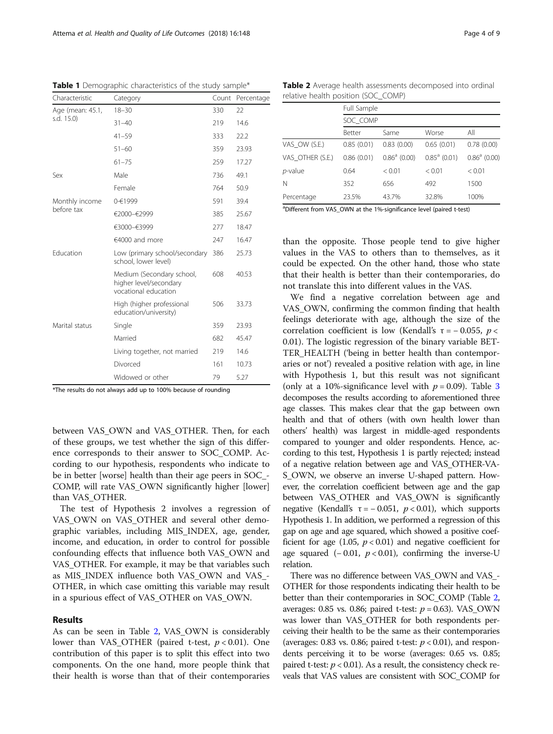\*The results do not always add up to 100% because of rounding

between VAS\_OWN and VAS\_OTHER. Then, for each of these groups, we test whether the sign of this difference corresponds to their answer to SOC\_COMP. According to our hypothesis, respondents who indicate to be in better [worse] health than their age peers in SOC\_- COMP, will rate VAS\_OWN significantly higher [lower] than VAS\_OTHER.

The test of Hypothesis 2 involves a regression of VAS\_OWN on VAS\_OTHER and several other demographic variables, including MIS\_INDEX, age, gender, income, and education, in order to control for possible confounding effects that influence both VAS\_OWN and VAS\_OTHER. For example, it may be that variables such as MIS\_INDEX influence both VAS\_OWN and VAS\_- OTHER, in which case omitting this variable may result in a spurious effect of VAS\_OTHER on VAS\_OWN.

### Results

As can be seen in Table 2, VAS\_OWN is considerably lower than VAS\_OTHER (paired t-test,  $p < 0.01$ ). One contribution of this paper is to split this effect into two components. On the one hand, more people think that their health is worse than that of their contemporaries Table 2 Average health assessments decomposed into ordinal relative health position (SOC\_COMP)

|                  | Full Sample   |                |                 |                 |
|------------------|---------------|----------------|-----------------|-----------------|
|                  | SOC COMP      |                |                 |                 |
|                  | <b>Better</b> | Same           | Worse           | All             |
| VAS OW (S.E.)    | 0.85(0.01)    | 0.83(0.00)     | 0.65(0.01)      | 0.78(0.00)      |
| VAS OTHER (S.E.) | 0.86(0.01)    | $0.86a$ (0.00) | $0.85^a$ (0.01) | $0.86^a$ (0.00) |
| $p$ -value       | 0.64          | < 0.01         | < 0.01          | < 0.01          |
| Ν                | 352           | 656            | 492             | 1500            |
| Percentage       | 23.5%         | 43.7%          | 32.8%           | 100%            |

<sup>a</sup>Different from VAS\_OWN at the 1%-significance level (paired t-test)

than the opposite. Those people tend to give higher values in the VAS to others than to themselves, as it could be expected. On the other hand, those who state that their health is better than their contemporaries, do not translate this into different values in the VAS.

We find a negative correlation between age and VAS\_OWN, confirming the common finding that health feelings deteriorate with age, although the size of the correlation coefficient is low (Kendall's  $τ = -0.055$ ,  $p <$ 0.01). The logistic regression of the binary variable BET-TER\_HEALTH ('being in better health than contemporaries or not') revealed a positive relation with age, in line with Hypothesis 1, but this result was not significant (only at a 10%-significance level with  $p = 0.09$ ). Table [3](#page-4-0) decomposes the results according to aforementioned three age classes. This makes clear that the gap between own health and that of others (with own health lower than others' health) was largest in middle-aged respondents compared to younger and older respondents. Hence, according to this test, Hypothesis 1 is partly rejected; instead of a negative relation between age and VAS\_OTHER-VA-S\_OWN, we observe an inverse U-shaped pattern. However, the correlation coefficient between age and the gap between VAS\_OTHER and VAS\_OWN is significantly negative (Kendall's  $\tau = -0.051$ ,  $p < 0.01$ ), which supports Hypothesis 1. In addition, we performed a regression of this gap on age and age squared, which showed a positive coefficient for age  $(1.05, p < 0.01)$  and negative coefficient for age squared  $(-0.01, p < 0.01)$ , confirming the inverse-U relation.

There was no difference between VAS\_OWN and VAS\_- OTHER for those respondents indicating their health to be better than their contemporaries in SOC\_COMP (Table 2, averages: 0.85 vs. 0.86; paired t-test:  $p = 0.63$ ). VAS\_OWN was lower than VAS\_OTHER for both respondents perceiving their health to be the same as their contemporaries (averages: 0.83 vs. 0.86; paired t-test:  $p < 0.01$ ), and respondents perceiving it to be worse (averages: 0.65 vs. 0.85; paired t-test:  $p < 0.01$ ). As a result, the consistency check reveals that VAS values are consistent with SOC\_COMP for

<span id="page-3-0"></span>Table 1 Demographic characteristics of the study sample\* Characteristic Category Count Percentage

Sex Male 736 49.1

Medium (Secondary school, higher level/secondary vocational education

High (higher professional education/university)

Marital status Single 359 23.93

Education Low (primary school/secondary school, lower level)

–30 330 22 –40 219 14.6 –59 333 22.2 –60 359 23.93 –75 259 17.27

Female 764 50.9

0-€1999 591 39.4 €2000–€2999 385 25.67 €3000–€3999 277 18.47 €4000 and more 247 16.47

Married 682 45.47 Living together, not married 219 14.6 Divorced 161 10.73 Widowed or other 79 5.27

386 25.73

608 40.53

506 33.73

Age (mean: 45.1, s.d. 15.0)

Monthly income before tax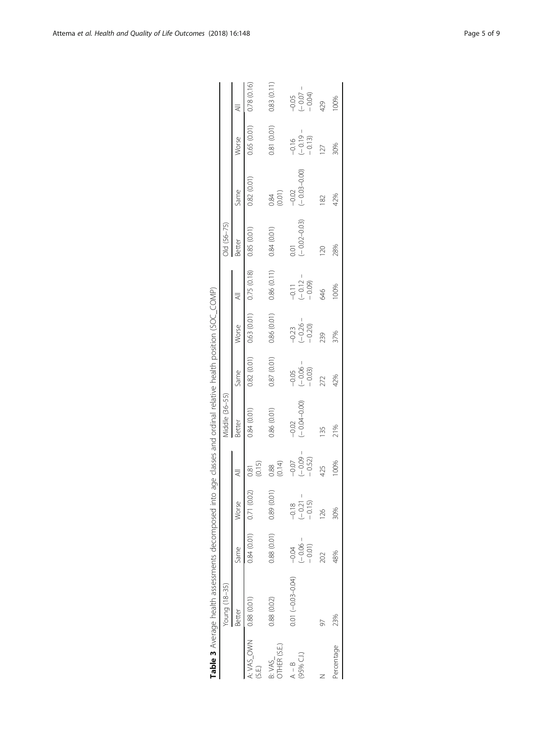<span id="page-4-0"></span>

|                                  | Table 3 Average health assessments decomposed into |                                 |                                  |                                | age classes and ordinal relative health position (SOC_COMP) |                                  |                                   |                                   |                        |                             |                             |                             |
|----------------------------------|----------------------------------------------------|---------------------------------|----------------------------------|--------------------------------|-------------------------------------------------------------|----------------------------------|-----------------------------------|-----------------------------------|------------------------|-----------------------------|-----------------------------|-----------------------------|
|                                  | Young (18-35)                                      |                                 |                                  |                                | Aiddle (36-55)                                              |                                  |                                   |                                   | Old (56-75)            |                             |                             |                             |
|                                  | <b>Better</b>                                      | Same                            | Worse                            |                                | Better                                                      | Same                             | Worse                             |                                   | Better                 | Same                        | Worse                       |                             |
| A: VAS_OWN 0.88 (0.01)<br>(S.E.) |                                                    | $0.84(0.01)$ 0.71 $(0.02)$      |                                  | (0.15)<br>$-81$                | 0.84(0.01)                                                  | 0.82 (0.01)                      | 0.63(0.01)                        | 0.75 (0.18)                       | 0.85(0.01)             | 0.82 (0.01)                 | 0.65 (0.01)                 | 0.78(0.16)                  |
| <b>JTHER (S.E.)</b><br>B: VAS_   | 0.88 (0.02)                                        | 0.88 (0.01)                     | 0.89 (0.01                       | (0.14)<br>0.88                 | 0.86 (0.01)                                                 | 0.87 (0.01)                      | 0.86(0.01)                        | 0.86 (0.11)                       | 0.84 (0.01)            | [0.01]<br>0.84              | 0.81 (0.01)                 | 0.83(0.11)                  |
| $(95%$ Cl.)<br>$A - B$           | $0.01 (-0.03 - 0.04)$                              | $-0.06 -$<br>$-0.01$<br>$-0.04$ | $(-0.21 -$<br>- 0.15)<br>$-0.18$ | $(-0.09 - (-0.52))$<br>$-0.07$ | $-0.04 - 0.00$<br>$-0.02$                                   | $(-0.06 -$<br>$-0.03$<br>$-0.05$ | $-0.23$<br>$(-0.26 -$<br>$-0.20)$ | $(-0.12 - 0.09)$<br>$\frac{1}{2}$ | $-0.02 - 0.03$<br>0.01 | $(-0.03 - 0.00)$<br>$-0.02$ | $(-0.19 - 0.13)$<br>$-0.16$ | $(-0.07 - 0.04)$<br>$-0.05$ |
| Z                                | 56                                                 | 202                             | $\frac{8}{2}$                    | 425                            | 135                                                         | 272                              | 239                               | 846                               | 120                    | $\approx$                   | 127                         | 429                         |
| Percentage                       | 23%                                                | 48%                             | 30%                              | 100%                           | 21%                                                         | 42%                              | 37%                               | 100%                              | 28%                    | 42%                         | 30%                         | 100%                        |

| $\ddot{\phantom{a}}$                            |
|-------------------------------------------------|
|                                                 |
|                                                 |
| i<br>I                                          |
|                                                 |
|                                                 |
|                                                 |
|                                                 |
| ١                                               |
| I<br>١                                          |
|                                                 |
|                                                 |
| $\ddot{\phantom{a}}$<br>i                       |
|                                                 |
| I                                               |
| l                                               |
|                                                 |
|                                                 |
| I                                               |
| ļ                                               |
| i                                               |
|                                                 |
| l<br>ׇ֬֘֕֜<br>j                                 |
| $\epsilon$                                      |
|                                                 |
| č<br>í<br>١                                     |
| j                                               |
| I                                               |
| 5<br>$\overline{ }$                             |
| $\frac{1}{2}$<br>Ś                              |
|                                                 |
| י<br>אור                                        |
| j                                               |
| i<br>J<br>J                                     |
| ١<br>I<br>$\overline{a}$                        |
|                                                 |
|                                                 |
| )<br>)<br>)<br>١                                |
|                                                 |
| ֦֧֧֧֧֚֚֚֚֚֚֚֚֚֚֚֚֚֚֚֚֚֚֡֝֝֝֝֝֝֝֝֓֝֟֓֡֝֬֝֓֝֟֓֝֬֝ |
| í                                               |
| i                                               |
|                                                 |
| ר<br>לר<br>I                                    |
| .<br>.<br>.                                     |
|                                                 |
| ł<br>١                                          |
| Ì<br>١                                          |
|                                                 |
| i<br>5<br>١                                     |
| Ś                                               |
|                                                 |
| A <sub>V</sub> A                                |
| ľ<br>ŋ                                          |
| ו<br>י<br>able <sup>-</sup>                     |
| ı<br>ļ                                          |
| I<br>⊨                                          |
|                                                 |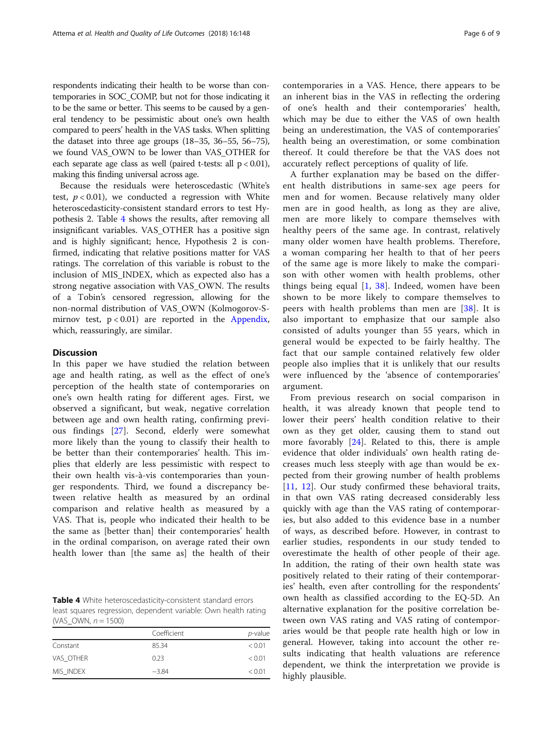<span id="page-5-0"></span>respondents indicating their health to be worse than contemporaries in SOC\_COMP, but not for those indicating it to be the same or better. This seems to be caused by a general tendency to be pessimistic about one's own health compared to peers' health in the VAS tasks. When splitting the dataset into three age groups (18–35, 36–55, 56–75), we found VAS\_OWN to be lower than VAS\_OTHER for each separate age class as well (paired t-tests: all  $p < 0.01$ ), making this finding universal across age.

Because the residuals were heteroscedastic (White's test,  $p < 0.01$ ), we conducted a regression with White heteroscedasticity-consistent standard errors to test Hypothesis 2. Table 4 shows the results, after removing all insignificant variables. VAS\_OTHER has a positive sign and is highly significant; hence, Hypothesis 2 is confirmed, indicating that relative positions matter for VAS ratings. The correlation of this variable is robust to the inclusion of MIS\_INDEX, which as expected also has a strong negative association with VAS\_OWN. The results of a Tobin's censored regression, allowing for the non-normal distribution of VAS\_OWN (Kolmogorov-Smirnov test,  $p < 0.01$ ) are reported in the Appendix, which, reassuringly, are similar.

#### **Discussion**

In this paper we have studied the relation between age and health rating, as well as the effect of one's perception of the health state of contemporaries on one's own health rating for different ages. First, we observed a significant, but weak, negative correlation between age and own health rating, confirming previous findings [[27\]](#page-7-0). Second, elderly were somewhat more likely than the young to classify their health to be better than their contemporaries' health. This implies that elderly are less pessimistic with respect to their own health vis-à-vis contemporaries than younger respondents. Third, we found a discrepancy between relative health as measured by an ordinal comparison and relative health as measured by a VAS. That is, people who indicated their health to be the same as [better than] their contemporaries' health in the ordinal comparison, on average rated their own health lower than [the same as] the health of their

Table 4 White heteroscedasticity-consistent standard errors least squares regression, dependent variable: Own health rating (VAS OWN,  $n = 1500$ )

|           | Coefficient | <i>p</i> -value |
|-----------|-------------|-----------------|
| Constant  | 85.34       | < 0.01          |
| VAS OTHER | 0.23        | < 0.01          |
| MIS INDEX | $-3.84$     | < 0.01          |

contemporaries in a VAS. Hence, there appears to be an inherent bias in the VAS in reflecting the ordering of one's health and their contemporaries' health, which may be due to either the VAS of own health being an underestimation, the VAS of contemporaries' health being an overestimation, or some combination thereof. It could therefore be that the VAS does not accurately reflect perceptions of quality of life.

A further explanation may be based on the different health distributions in same-sex age peers for men and for women. Because relatively many older men are in good health, as long as they are alive, men are more likely to compare themselves with healthy peers of the same age. In contrast, relatively many older women have health problems. Therefore, a woman comparing her health to that of her peers of the same age is more likely to make the comparison with other women with health problems, other things being equal  $\left[1, 38\right]$  $\left[1, 38\right]$  $\left[1, 38\right]$ . Indeed, women have been shown to be more likely to compare themselves to peers with health problems than men are [[38\]](#page-8-0). It is also important to emphasize that our sample also consisted of adults younger than 55 years, which in general would be expected to be fairly healthy. The fact that our sample contained relatively few older people also implies that it is unlikely that our results were influenced by the 'absence of contemporaries' argument.

From previous research on social comparison in health, it was already known that people tend to lower their peers' health condition relative to their own as they get older, causing them to stand out more favorably [[24\]](#page-7-0). Related to this, there is ample evidence that older individuals' own health rating decreases much less steeply with age than would be expected from their growing number of health problems [[11,](#page-7-0) [12\]](#page-7-0). Our study confirmed these behavioral traits, in that own VAS rating decreased considerably less quickly with age than the VAS rating of contemporaries, but also added to this evidence base in a number of ways, as described before. However, in contrast to earlier studies, respondents in our study tended to overestimate the health of other people of their age. In addition, the rating of their own health state was positively related to their rating of their contemporaries' health, even after controlling for the respondents' own health as classified according to the EQ-5D. An alternative explanation for the positive correlation between own VAS rating and VAS rating of contemporaries would be that people rate health high or low in general. However, taking into account the other results indicating that health valuations are reference dependent, we think the interpretation we provide is highly plausible.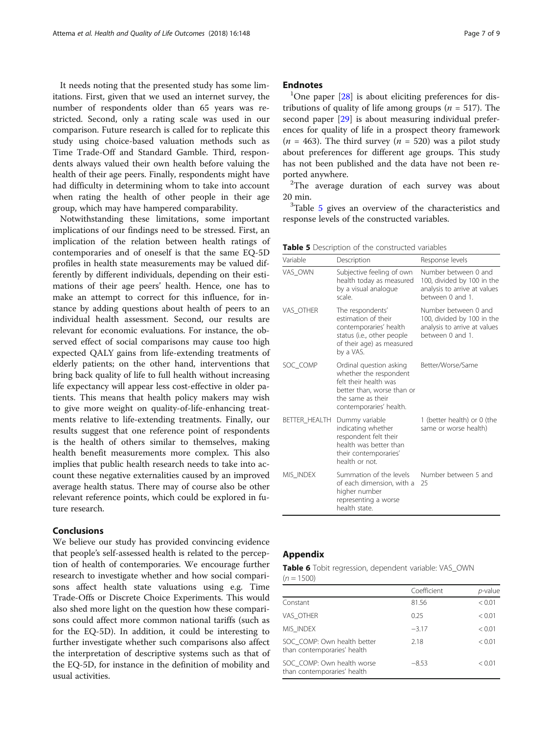<span id="page-6-0"></span>It needs noting that the presented study has some limitations. First, given that we used an internet survey, the number of respondents older than 65 years was restricted. Second, only a rating scale was used in our comparison. Future research is called for to replicate this study using choice-based valuation methods such as Time Trade-Off and Standard Gamble. Third, respondents always valued their own health before valuing the health of their age peers. Finally, respondents might have had difficulty in determining whom to take into account when rating the health of other people in their age group, which may have hampered comparability.

Notwithstanding these limitations, some important implications of our findings need to be stressed. First, an implication of the relation between health ratings of contemporaries and of oneself is that the same EQ-5D profiles in health state measurements may be valued differently by different individuals, depending on their estimations of their age peers' health. Hence, one has to make an attempt to correct for this influence, for instance by adding questions about health of peers to an individual health assessment. Second, our results are relevant for economic evaluations. For instance, the observed effect of social comparisons may cause too high expected QALY gains from life-extending treatments of elderly patients; on the other hand, interventions that bring back quality of life to full health without increasing life expectancy will appear less cost-effective in older patients. This means that health policy makers may wish to give more weight on quality-of-life-enhancing treatments relative to life-extending treatments. Finally, our results suggest that one reference point of respondents is the health of others similar to themselves, making health benefit measurements more complex. This also implies that public health research needs to take into account these negative externalities caused by an improved average health status. There may of course also be other relevant reference points, which could be explored in future research.

#### Conclusions

We believe our study has provided convincing evidence that people's self-assessed health is related to the perception of health of contemporaries. We encourage further research to investigate whether and how social comparisons affect health state valuations using e.g. Time Trade-Offs or Discrete Choice Experiments. This would also shed more light on the question how these comparisons could affect more common national tariffs (such as for the EQ-5D). In addition, it could be interesting to further investigate whether such comparisons also affect the interpretation of descriptive systems such as that of the EQ-5D, for instance in the definition of mobility and usual activities.

### **Endnotes**

<sup>1</sup>One paper  $[28]$  $[28]$  $[28]$  is about eliciting preferences for distributions of quality of life among groups ( $n = 517$ ). The second paper [[29\]](#page-7-0) is about measuring individual preferences for quality of life in a prospect theory framework  $(n = 463)$ . The third survey  $(n = 520)$  was a pilot study about preferences for different age groups. This study has not been published and the data have not been reported anywhere.

 $2$ The average duration of each survey was about 20 min.

<sup>3</sup>Table 5 gives an overview of the characteristics and response levels of the constructed variables.

Table 5 Description of the constructed variables

| Variable      | Description                                                                                                                                              | Response levels                                                                                        |
|---------------|----------------------------------------------------------------------------------------------------------------------------------------------------------|--------------------------------------------------------------------------------------------------------|
| VAS OWN       | Subjective feeling of own<br>health today as measured<br>by a visual analogue<br>scale.                                                                  | Number between 0 and<br>100, divided by 100 in the<br>analysis to arrive at values<br>between 0 and 1. |
| VAS_OTHER     | The respondents'<br>estimation of their<br>contemporaries' health<br>status (i.e., other people<br>of their age) as measured<br>by a VAS.                | Number between 0 and<br>100, divided by 100 in the<br>analysis to arrive at values<br>between 0 and 1. |
| SOC COMP      | Ordinal question asking<br>whether the respondent<br>felt their health was<br>better than, worse than or<br>the same as their<br>contemporaries' health. | Better/Worse/Same                                                                                      |
| BETTER HEALTH | Dummy variable<br>indicating whether<br>respondent felt their<br>health was better than<br>their contemporaries'<br>health or not.                       | 1 (better health) or 0 (the<br>same or worse health)                                                   |
| MIS INDEX     | Summation of the levels<br>of each dimension, with a<br>higher number<br>representing a worse<br>health state.                                           | Number between 5 and<br>25                                                                             |

#### Appendix

Table 6 Tobit regression, dependent variable: VAS\_OWN

 $(n = 1500)$ 

|                                                            | Coefficient | p-value |
|------------------------------------------------------------|-------------|---------|
| Constant                                                   | 81.56       | < 0.01  |
| VAS OTHER                                                  | 0.25        | < 0.01  |
| MIS INDEX                                                  | $-3.17$     | < 0.01  |
| SOC COMP: Own health better<br>than contemporaries' health | 2.18        | < 0.01  |
| SOC COMP: Own health worse<br>than contemporaries' health  | $-8.53$     | < 0.01  |
|                                                            |             |         |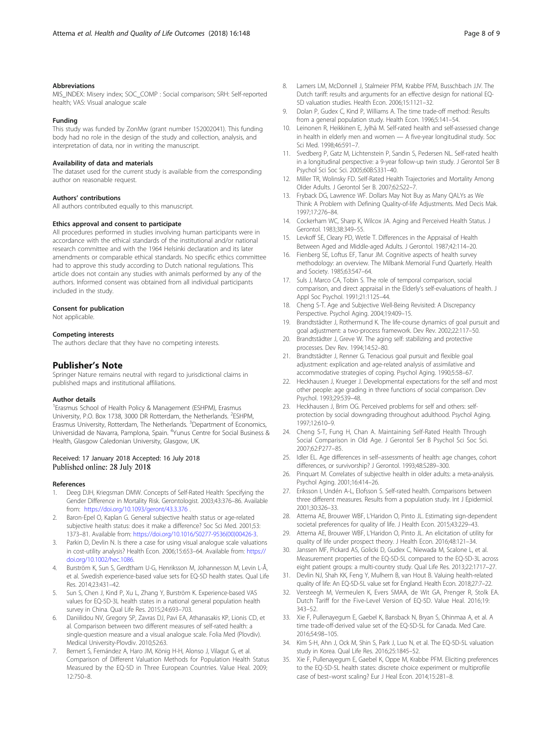<span id="page-7-0"></span>MIS\_INDEX: Misery index; SOC\_COMP : Social comparison; SRH: Self-reported health; VAS: Visual analogue scale

#### Funding

This study was funded by ZonMw (grant number 152002041). This funding body had no role in the design of the study and collection, analysis, and interpretation of data, nor in writing the manuscript.

#### Availability of data and materials

The dataset used for the current study is available from the corresponding author on reasonable request.

#### Authors' contributions

All authors contributed equally to this manuscript.

#### Ethics approval and consent to participate

All procedures performed in studies involving human participants were in accordance with the ethical standards of the institutional and/or national research committee and with the 1964 Helsinki declaration and its later amendments or comparable ethical standards. No specific ethics committee had to approve this study according to Dutch national regulations. This article does not contain any studies with animals performed by any of the authors. Informed consent was obtained from all individual participants included in the study.

#### Consent for publication

Not applicable.

#### Competing interests

The authors declare that they have no competing interests.

#### Publisher's Note

Springer Nature remains neutral with regard to jurisdictional claims in published maps and institutional affiliations.

#### Author details

<sup>1</sup> Erasmus School of Health Policy & Management (ESHPM), Erasmus University, P.O. Box 1738, 3000 DR Rotterdam, the Netherlands. <sup>2</sup>ESHPM, Erasmus University, Rotterdam, The Netherlands. <sup>3</sup>Department of Economics, Universidad de Navarra, Pamplona, Spain. <sup>4</sup>Yunus Centre for Social Business & Health, Glasgow Caledonian University, Glasgow, UK.

### Received: 17 January 2018 Accepted: 16 July 2018 Published online: 28 July 2018

#### References

- 1. Deeg DJH, Kriegsman DMW. Concepts of Self-Rated Health: Specifying the Gender Difference in Mortality Risk. Gerontologist. 2003;43:376–86. Available from: <https://doi.org/10.1093/geront/43.3.376> .
- Baron-Epel O, Kaplan G. General subjective health status or age-related subjective health status: does it make a difference? Soc Sci Med. 2001;53: 1373–81. Available from: [https://doi.org/10.1016/S0277-9536\(00\)00426-3](https://doi.org/10.1016/S0277-9536(00)00426-3).
- 3. Parkin D, Devlin N. Is there a case for using visual analogue scale valuations in cost-utility analysis? Health Econ. 2006;15:653–64. Available from: [https://](https://doi.org/10.1002/hec.1086) [doi.org/10.1002/hec.1086](https://doi.org/10.1002/hec.1086).
- 4. Burström K, Sun S, Gerdtham U-G, Henriksson M, Johannesson M, Levin L-Å, et al. Swedish experience-based value sets for EQ-5D health states. Qual Life Res. 2014;23:431–42.
- 5. Sun S, Chen J, Kind P, Xu L, Zhang Y, Burström K. Experience-based VAS values for EQ-5D-3L health states in a national general population health survey in China. Qual Life Res. 2015;24:693–703.
- 6. Daniilidou NV, Gregory SP, Zavras DJ, Pavi EA, Athanasakis KP, Lionis CD, et al. Comparison between two different measures of self-rated health: a single-question measure and a visual analogue scale. Folia Med (Plovdiv). Medical University-Plovdiv. 2010;52:63.
- Bernert S, Fernández A, Haro JM, König H-H, Alonso J, Vilagut G, et al. Comparison of Different Valuation Methods for Population Health Status Measured by the EQ-5D in Three European Countries. Value Heal. 2009; 12:750–8.
- 8. Lamers LM, McDonnell J, Stalmeier PFM, Krabbe PFM, Busschbach JJV. The Dutch tariff: results and arguments for an effective design for national EQ-5D valuation studies. Health Econ. 2006;15:1121–32.
- 9. Dolan P, Gudex C, Kind P, Williams A. The time trade-off method: Results from a general population study. Health Econ. 1996;5:141–54.
- 10. Leinonen R, Heikkinen E, Jylhä M. Self-rated health and self-assessed change in health in elderly men and women — A five-year longitudinal study. Soc Sci Med. 1998;46:591–7.
- 11. Svedberg P, Gatz M, Lichtenstein P, Sandin S, Pedersen NL. Self-rated health in a longitudinal perspective: a 9-year follow-up twin study. J Gerontol Ser B Psychol Sci Soc Sci. 2005;60B:S331–40.
- 12. Miller TR, Wolinsky FD. Self-Rated Health Trajectories and Mortality Among Older Adults. J Gerontol Ser B. 2007;62:S22–7.
- 13. Fryback DG, Lawrence WF. Dollars May Not Buy as Many QALYs as We Think: A Problem with Defining Quality-of-life Adjustments. Med Decis Mak. 1997;17:276–84.
- 14. Cockerham WC, Sharp K, Wilcox JA. Aging and Perceived Health Status. J Gerontol. 1983;38:349–55.
- 15. Levkoff SE, Cleary PD, Wetle T. Differences in the Appraisal of Health Between Aged and Middle-aged Adults. J Gerontol. 1987;42:114–20.
- 16. Fienberg SE, Loftus EF, Tanur JM. Cognitive aspects of health survey methodology: an overview. The Milbank Memorial Fund Quarterly. Health and Society. 1985;63:547–64.
- 17. Suls J, Marco CA, Tobin S. The role of temporal comparison, social comparison, and direct appraisal in the Elderly's self-evaluations of health. J Appl Soc Psychol. 1991;21:1125–44.
- 18. Cheng S-T. Age and Subjective Well-Being Revisited: A Discrepancy Perspective. Psychol Aging. 2004;19:409–15.
- 19. Brandtstädter J, Rothermund K. The life-course dynamics of goal pursuit and goal adjustment: a two-process framework. Dev Rev. 2002;22:117–50.
- 20. Brandtstädter J, Greve W. The aging self: stabilizing and protective processes. Dev Rev. 1994;14:52–80.
- 21. Brandtstädter J, Renner G. Tenacious goal pursuit and flexible goal adjustment: explication and age-related analysis of assimilative and accommodative strategies of coping. Psychol Aging. 1990;5:58–67.
- 22. Heckhausen J, Krueger J. Developmental expectations for the self and most other people: age grading in three functions of social comparison. Dev Psychol. 1993;29:539–48.
- 23. Heckhausen J. Brim OG. Perceived problems for self and others: selfprotection by social downgrading throughout adulthood. Psychol Aging. 1997;12:610–9.
- 24. Cheng S-T, Fung H, Chan A. Maintaining Self-Rated Health Through Social Comparison in Old Age. J Gerontol Ser B Psychol Sci Soc Sci. 2007;62:P277–85.
- 25. Idler EL. Age differences in self–assessments of health: age changes, cohort differences, or survivorship? J Gerontol. 1993;48:S289–300.
- 26. Pinquart M. Correlates of subjective health in older adults: a meta-analysis. Psychol Aging. 2001;16:414–26.
- 27. Eriksson I, Undén A-L, Elofsson S. Self-rated health. Comparisons between three different measures. Results from a population study. Int J Epidemiol. 2001;30:326–33.
- 28. Attema AE, Brouwer WBF, L'Haridon O, Pinto JL. Estimating sign-dependent societal preferences for quality of life. J Health Econ. 2015;43:229–43.
- 29. Attema AE, Brouwer WBF, L'Haridon O, Pinto JL. An elicitation of utility for quality of life under prospect theory. J Health Econ. 2016;48:121–34.
- 30. Janssen MF, Pickard AS, Golicki D, Gudex C, Niewada M, Scalone L, et al. Measurement properties of the EQ-5D-5L compared to the EQ-5D-3L across eight patient groups: a multi-country study. Qual Life Res. 2013;22:1717–27.
- 31. Devlin NJ, Shah KK, Feng Y, Mulhern B, van Hout B. Valuing health-related quality of life: An EQ-5D-5L value set for England. Health Econ. 2018;27:7–22.
- 32. Versteegh M, Vermeulen K, Evers SMAA, de Wit GA, Prenger R, Stolk EA. Dutch Tariff for the Five-Level Version of EQ-5D. Value Heal. 2016;19: 343–52.
- 33. Xie F, Pullenayegum E, Gaebel K, Bansback N, Bryan S, Ohinmaa A, et al. A time trade-off-derived value set of the EQ-5D-5L for Canada. Med Care. 2016;54:98–105.
- 34. Kim S-H, Ahn J, Ock M, Shin S, Park J, Luo N, et al. The EQ-5D-5L valuation study in Korea. Qual Life Res. 2016;25:1845–52.
- 35. Xie F, Pullenayegum E, Gaebel K, Oppe M, Krabbe PFM. Eliciting preferences to the EQ-5D-5L health states: discrete choice experiment or multiprofile case of best–worst scaling? Eur J Heal Econ. 2014;15:281–8.